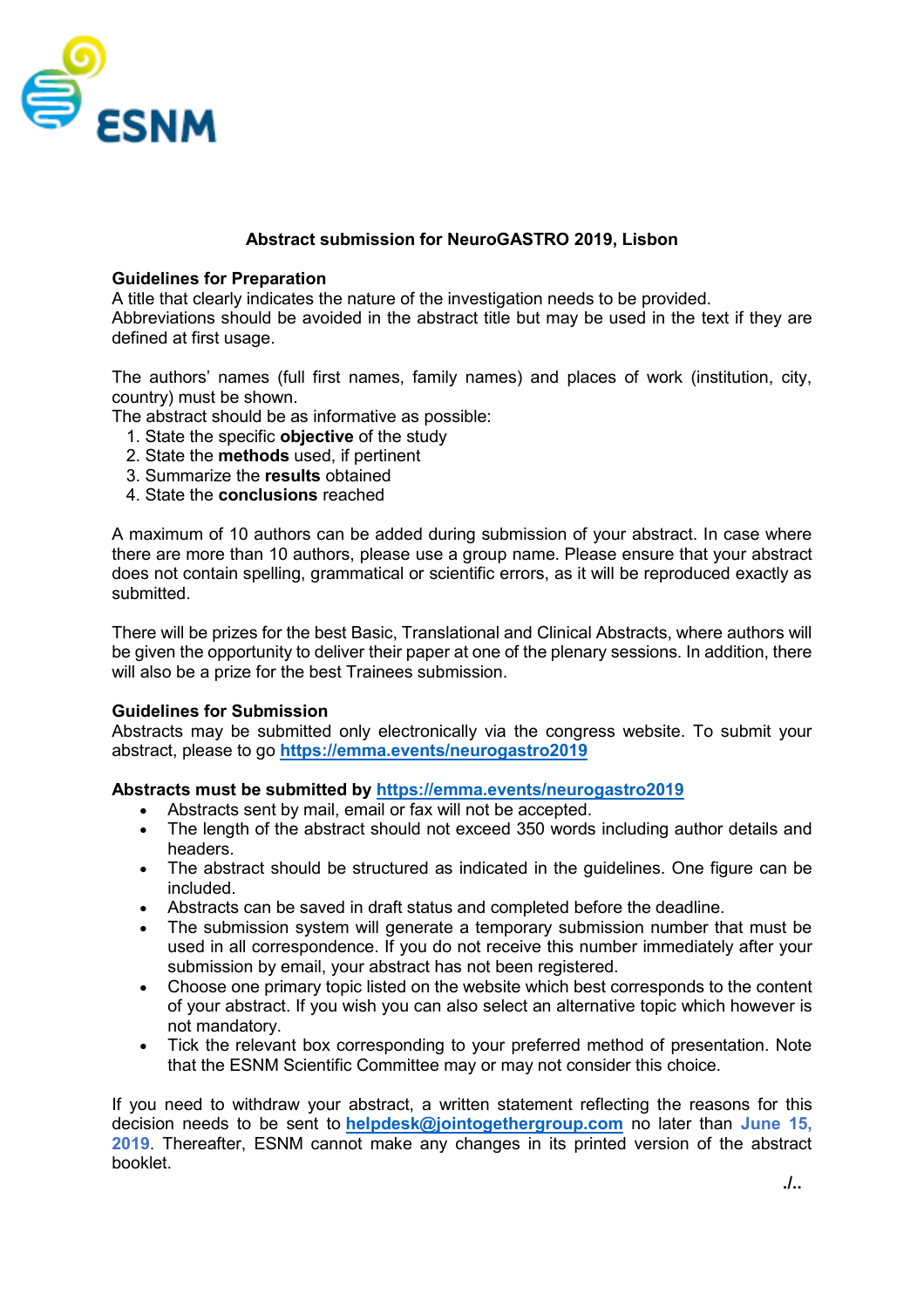

## **Abstract submission for NeuroGASTRO 2019, Lisbon**

### **Guidelines for Preparation**

A title that clearly indicates the nature of the investigation needs to be provided. Abbreviations should be avoided in the abstract title but may be used in the text if they are defined at first usage.

The authors' names (full first names, family names) and places of work (institution, city, country) must be shown.

The abstract should be as informative as possible:

- 1. State the specific **objective** of the study
- 2. State the **methods** used, if pertinent
- 3. Summarize the **results** obtained
- 4. State the **conclusions** reached

A maximum of 10 authors can be added during submission of your abstract. In case where there are more than 10 authors, please use a group name. Please ensure that your abstract does not contain spelling, grammatical or scientific errors, as it will be reproduced exactly as submitted.

There will be prizes for the best Basic, Translational and Clinical Abstracts, where authors will be given the opportunity to deliver their paper at one of the plenary sessions. In addition, there will also be a prize for the best Trainees submission.

#### **Guidelines for Submission**

Abstracts may be submitted only electronically via the congress website. To submit your abstract, please to go **<https://emma.events/neurogastro2019>**

## **Abstracts must be submitted by<https://emma.events/neurogastro2019>**

- Abstracts sent by mail, email or fax will not be accepted.
- The length of the abstract should not exceed 350 words including author details and headers.
- The abstract should be structured as indicated in the guidelines. One figure can be included.
- Abstracts can be saved in draft status and completed before the deadline.
- The submission system will generate a temporary submission number that must be used in all correspondence. If you do not receive this number immediately after your submission by email, your abstract has not been registered.
- Choose one primary topic listed on the website which best corresponds to the content of your abstract. If you wish you can also select an alternative topic which however is not mandatory.
- Tick the relevant box corresponding to your preferred method of presentation. Note that the ESNM Scientific Committee may or may not consider this choice.

If you need to withdraw your abstract, a written statement reflecting the reasons for this decision needs to be sent to **[helpdesk@jointogethergroup.com](mailto:helpdesk@jointogethergroup.com)** no later than **June 15, 2019**. Thereafter, ESNM cannot make any changes in its printed version of the abstract booklet.